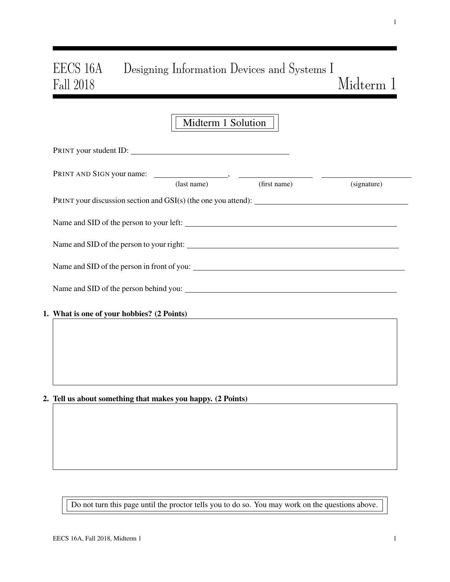# EECS 16A Designing Information Devices and Systems I Fall 2018 Midterm 1

| Midterm 1 Solution                                               |
|------------------------------------------------------------------|
| PRINT your student ID:                                           |
| (first name)<br>(last name)<br>(signature)                       |
| PRINT your discussion section and $GSI(s)$ (the one you attend): |
|                                                                  |
|                                                                  |
|                                                                  |
|                                                                  |
| 1. What is one of your hobbies? (2 Points)                       |
|                                                                  |
|                                                                  |
|                                                                  |
|                                                                  |

2. Tell us about something that makes you happy. (2 Points)

Do not turn this page until the proctor tells you to do so. You may work on the questions above.

1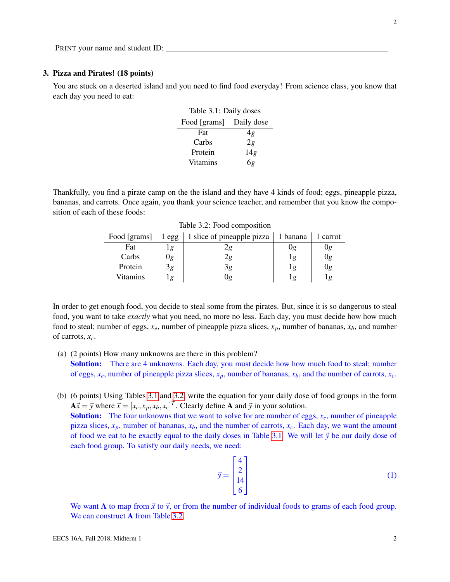### 3. Pizza and Pirates! (18 points)

<span id="page-1-0"></span>You are stuck on a deserted island and you need to find food everyday! From science class, you know that each day you need to eat:

| Table 3.1: Daily doses |            |  |  |  |  |  |
|------------------------|------------|--|--|--|--|--|
| Food [grams]           | Daily dose |  |  |  |  |  |
| Fat                    | 4g         |  |  |  |  |  |
| Carbs                  | 2g         |  |  |  |  |  |
| Protein                | 14g        |  |  |  |  |  |
| <b>Vitamins</b>        | 6g         |  |  |  |  |  |

<span id="page-1-1"></span>Thankfully, you find a pirate camp on the the island and they have 4 kinds of food; eggs, pineapple pizza, bananas, and carrots. Once again, you thank your science teacher, and remember that you know the composition of each of these foods:

| Food [grams] | 1 egg | 1 slice of pineapple pizza<br>$\vert$ 1 banana |    | 1 carrot |
|--------------|-------|------------------------------------------------|----|----------|
| Fat          | g     |                                                | 0g | Ug       |
| Carbs        | Jg    |                                                |    | 0g       |
| Protein      | 3g    | 5g                                             |    | 0g       |
| Vitamins     | ٠g    | Jg                                             |    | lg       |

Table 3.2: Food composition

In order to get enough food, you decide to steal some from the pirates. But, since it is so dangerous to steal food, you want to take *exactly* what you need, no more no less. Each day, you must decide how how much food to steal; number of eggs,  $x_e$ , number of pineapple pizza slices,  $x_p$ , number of bananas,  $x_b$ , and number of carrots, *xc*.

- (a) (2 points) How many unknowns are there in this problem? Solution: There are 4 unknowns. Each day, you must decide how how much food to steal; number of eggs, *xe*, number of pineapple pizza slices, *xp*, number of bananas, *xb*, and the number of carrots, *xc*.
- (b) (6 points) Using Tables [3.1](#page-1-0) and [3.2,](#page-1-1) write the equation for your daily dose of food groups in the form  $A\vec{x} = \vec{y}$  where  $\vec{x} = [x_e, x_p, x_b, x_c]^T$ . Clearly define A and  $\vec{y}$  in your solution.

Solution: The four unknowns that we want to solve for are number of eggs, *xe*, number of pineapple pizza slices, *xp*, number of bananas, *xb*, and the number of carrots, *xc*. Each day, we want the amount of food we eat to be exactly equal to the daily doses in Table [3.1.](#page-1-0) We will let  $\vec{y}$  be our daily dose of each food group. To satisfy our daily needs, we need:

$$
\vec{y} = \begin{bmatrix} 4 \\ 2 \\ 14 \\ 6 \end{bmatrix} \tag{1}
$$

We want A to map from  $\vec{x}$  to  $\vec{y}$ , or from the number of individual foods to grams of each food group. We can construct **A** from Table [3.2.](#page-1-1)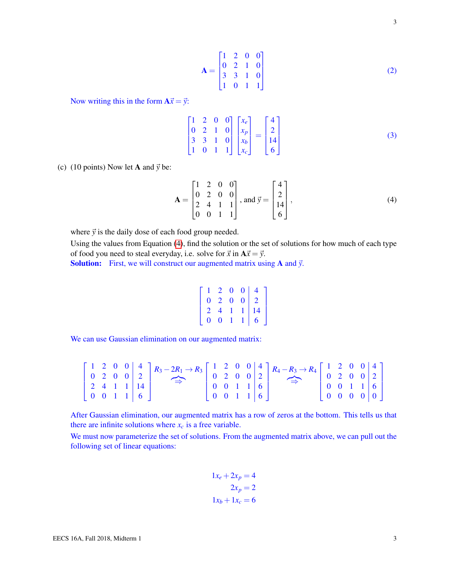$$
\mathbf{A} = \begin{bmatrix} 1 & 2 & 0 & 0 \\ 0 & 2 & 1 & 0 \\ 3 & 3 & 1 & 0 \\ 1 & 0 & 1 & 1 \end{bmatrix}
$$
 (2)

Now writing this in the form  $A\vec{x} = \vec{y}$ :

$$
\begin{bmatrix} 1 & 2 & 0 & 0 \ 0 & 2 & 1 & 0 \ 3 & 3 & 1 & 0 \ 1 & 0 & 1 & 1 \end{bmatrix} \begin{bmatrix} x_e \ x_p \ x_b \ x_c \end{bmatrix} = \begin{bmatrix} 4 \ 2 \ 14 \ 6 \end{bmatrix}
$$
 (3)

(c) (10 points) Now let **A** and  $\vec{y}$  be:

<span id="page-2-0"></span>
$$
\mathbf{A} = \begin{bmatrix} 1 & 2 & 0 & 0 \\ 0 & 2 & 0 & 0 \\ 2 & 4 & 1 & 1 \\ 0 & 0 & 1 & 1 \end{bmatrix}, \text{ and } \vec{y} = \begin{bmatrix} 4 \\ 2 \\ 14 \\ 6 \end{bmatrix},
$$
 (4)

where  $\vec{y}$  is the daily dose of each food group needed.

Using the values from Equation [\(4\)](#page-2-0), find the solution or the set of solutions for how much of each type of food you need to steal everyday, i.e. solve for  $\vec{x}$  in  $A\vec{x} = \vec{y}$ .

Solution: First, we will construct our augmented matrix using **A** and  $\vec{y}$ .

$$
\left[\begin{array}{cccc|c} 1 & 2 & 0 & 0 & 4 \\ 0 & 2 & 0 & 0 & 2 \\ 2 & 4 & 1 & 1 & 14 \\ 0 & 0 & 1 & 1 & 6 \end{array}\right]
$$

We can use Gaussian elimination on our augmented matrix:

|  |  |  | $\left[\begin{array}{cccc c} 1 & 2 & 0 & 0 & 4 \\ 0 & 2 & 0 & 0 & 2 \\ 2 & 4 & 1 & 1 & 14 \\ 0 & 0 & 1 & 1 & 6 \end{array}\right] \xrightarrow{R_3 - 2R_1 \rightarrow R_3} \left[\begin{array}{cccc c} 1 & 2 & 0 & 0 & 4 \\ 0 & 2 & 0 & 0 & 2 \\ 0 & 0 & 1 & 1 & 6 \\ 0 & 0 & 1 & 1 & 6 \end{array}\right] \xrightarrow{R_4 - R_3 \rightarrow R_4} \left[\begin{array}{cccc c} 1 & 2 & 0 & 0 & 4 \\ 0 &$ |  |  |  |  |  |  |
|--|--|--|----------------------------------------------------------------------------------------------------------------------------------------------------------------------------------------------------------------------------------------------------------------------------------------------------------------------------------------------------------------------------------------------------------|--|--|--|--|--|--|

After Gaussian elimination, our augmented matrix has a row of zeros at the bottom. This tells us that there are infinite solutions where  $x_c$  is a free variable.

We must now parameterize the set of solutions. From the augmented matrix above, we can pull out the following set of linear equations:

$$
1x_e + 2x_p = 4
$$

$$
2x_p = 2
$$

$$
1x_b + 1x_c = 6
$$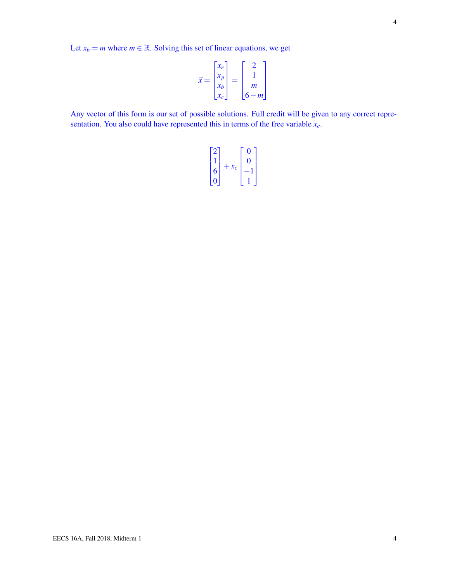$$
\vec{x} = \begin{bmatrix} x_e \\ x_p \\ x_b \\ x_c \end{bmatrix} = \begin{bmatrix} 2 \\ 1 \\ m \\ 6 - m \end{bmatrix}
$$

Any vector of this form is our set of possible solutions. Full credit will be given to any correct representation. You also could have represented this in terms of the free variable *xc*.

$$
\begin{bmatrix} 2 \\ 1 \\ 6 \\ 0 \end{bmatrix} + x_c \begin{bmatrix} 0 \\ 0 \\ -1 \\ 1 \end{bmatrix}
$$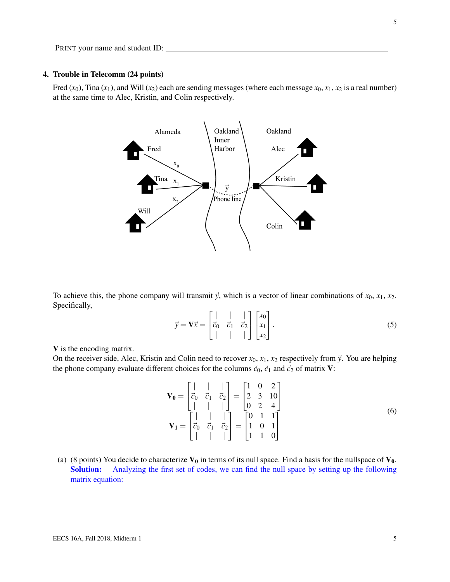# 4. Trouble in Telecomm (24 points)

Fred  $(x_0)$ , Tina  $(x_1)$ , and Will  $(x_2)$  each are sending messages (where each message  $x_0, x_1, x_2$  is a real number) at the same time to Alec, Kristin, and Colin respectively.



To achieve this, the phone company will transmit  $\vec{y}$ , which is a vector of linear combinations of  $x_0, x_1, x_2$ . Specifically,

$$
\vec{y} = \mathbf{V}\vec{x} = \begin{bmatrix} | & | & | \\ \vec{c}_0 & \vec{c}_1 & \vec{c}_2 \\ | & | & | & | \end{bmatrix} \begin{bmatrix} x_0 \\ x_1 \\ x_2 \end{bmatrix} . \tag{5}
$$

V is the encoding matrix.

On the receiver side, Alec, Kristin and Colin need to recover  $x_0$ ,  $x_1$ ,  $x_2$  respectively from  $\vec{y}$ . You are helping the phone company evaluate different choices for the columns  $\vec{c}_0$ ,  $\vec{c}_1$  and  $\vec{c}_2$  of matrix **V**:

$$
\mathbf{V_0} = \begin{bmatrix} | & | & | \\ \vec{c}_0 & \vec{c}_1 & \vec{c}_2 \\ | & | & | & | \end{bmatrix} = \begin{bmatrix} 1 & 0 & 2 \\ 2 & 3 & 10 \\ 0 & 2 & 4 \end{bmatrix}
$$

$$
\mathbf{V_1} = \begin{bmatrix} | & | & | \\ \vec{c}_0 & \vec{c}_1 & \vec{c}_2 \\ | & | & | & | \end{bmatrix} = \begin{bmatrix} 0 & 1 & 1 \\ 1 & 0 & 1 \\ 1 & 1 & 0 \end{bmatrix}
$$
(6)

(a) (8 points) You decide to characterize  $V_0$  in terms of its null space. Find a basis for the nullspace of  $V_0$ . Solution: Analyzing the first set of codes, we can find the null space by setting up the following matrix equation: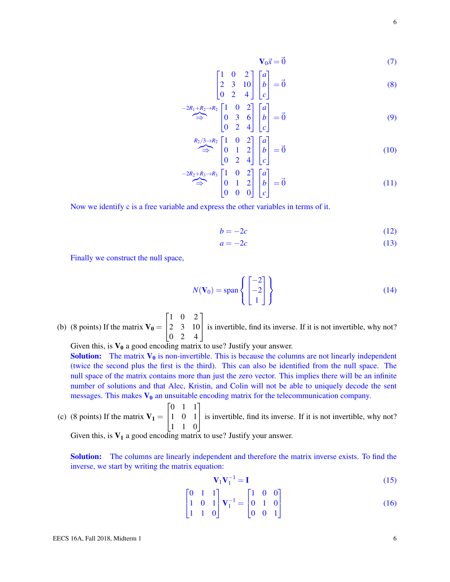$$
\mathbf{V}_0 \vec{x} = \vec{0} \tag{7}
$$

$$
\begin{bmatrix} 1 & 0 & 2 \\ 2 & 3 & 10 \\ 0 & 2 & 4 \end{bmatrix} \begin{bmatrix} a \\ b \\ c \end{bmatrix} = \vec{0}
$$
 (8)

$$
\stackrel{-2R_1 + R_2 \to R_2}{\Longrightarrow} \begin{bmatrix} 1 & 0 & 2 \\ 0 & 3 & 6 \\ 0 & 2 & 4 \end{bmatrix} \begin{bmatrix} a \\ b \\ c \end{bmatrix} = \vec{0}
$$
 (9)

$$
\stackrel{R_2/3 \to R_2}{\Longrightarrow} \begin{bmatrix} 1 & 0 & 2 \\ 0 & 1 & 2 \\ 0 & 2 & 4 \end{bmatrix} \begin{bmatrix} a \\ b \\ c \end{bmatrix} = \vec{0}
$$
 (10)

$$
\stackrel{-2R_2 + R_3 \to R_3}{\Longrightarrow} \begin{bmatrix} 1 & 0 & 2 \\ 0 & 1 & 2 \\ 0 & 0 & 0 \end{bmatrix} \begin{bmatrix} a \\ b \\ c \end{bmatrix} = \vec{0}
$$
 (11)

Now we identify c is a free variable and express the other variables in terms of it.

$$
b = -2c \tag{12}
$$

$$
a = -2c \tag{13}
$$

Finally we construct the null space,

$$
N(\mathbf{V}_0) = \text{span}\left\{ \begin{bmatrix} -2\\ -2\\ 1 \end{bmatrix} \right\} \tag{14}
$$

(b) (8 points) If the matrix  $V_0 =$  $\sqrt{ }$  $\overline{1}$ 1 0 2 2 3 10 0 2 4 1 is invertible, find its inverse. If it is not invertible, why not?

Given this, is  $V_0$  a good encoding matrix to use? Justify your answer.

**Solution:** The matrix  $V_0$  is non-invertible. This is because the columns are not linearly independent (twice the second plus the first is the third). This can also be identified from the null space. The null space of the matrix contains more than just the zero vector. This implies there will be an infinite number of solutions and that Alec, Kristin, and Colin will not be able to uniquely decode the sent messages. This makes  $V_0$  an unsuitable encoding matrix for the telecommunication company.

(c) (8 points) If the matrix 
$$
\mathbf{V}_1 = \begin{bmatrix} 0 & 1 & 1 \\ 1 & 0 & 1 \\ 1 & 1 & 0 \end{bmatrix}
$$
 is invertible, find its inverse. If it is not invertible, why not?

Given this, is  $V_1$  a good encoding matrix to use? Justify your answer.

Solution: The columns are linearly independent and therefore the matrix inverse exists. To find the inverse, we start by writing the matrix equation:

$$
\mathbf{V}_1 \mathbf{V}_1^{-1} = \mathbf{I} \tag{15}
$$

$$
\begin{bmatrix} 0 & 1 & 1 \\ 1 & 0 & 1 \\ 1 & 1 & 0 \end{bmatrix} \mathbf{V}_1^{-1} = \begin{bmatrix} 1 & 0 & 0 \\ 0 & 1 & 0 \\ 0 & 0 & 1 \end{bmatrix}
$$
 (16)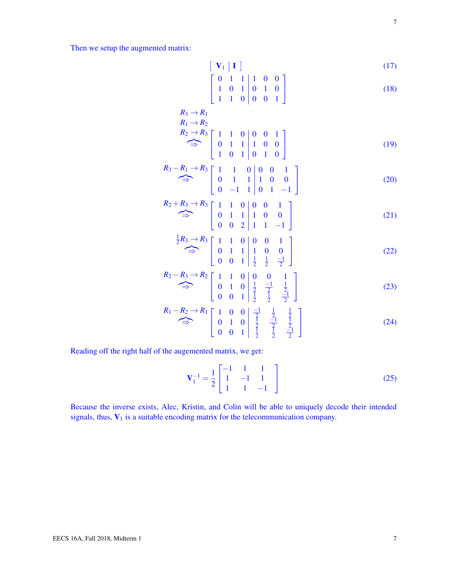Then we setup the augmented matrix:

$$
\left[ \left[ \mathbf{V}_1 \middle| \mathbf{I} \right] \right] \tag{17}
$$

$$
\left[\begin{array}{cccc|c} 0 & 1 & 1 & 1 & 0 & 0 \\ 1 & 0 & 1 & 0 & 1 & 0 \\ 1 & 1 & 0 & 0 & 0 & 1 \end{array}\right]
$$
 (18)

$$
R_3 \to R_1
$$
  
\n
$$
R_1 \to R_2
$$
  
\n
$$
R_2 \to R_3
$$
  
\n
$$
\begin{bmatrix} 1 & 1 & 0 & 0 & 0 & 1 \\ 0 & 1 & 1 & 1 & 0 & 0 \\ 1 & 0 & 1 & 0 & 1 & 0 \end{bmatrix}
$$
 (19)

$$
R_3 - R_1 \rightarrow R_3 \begin{bmatrix} 1 & 1 & 0 & 0 & 0 & 1 \\ 0 & 1 & 1 & 1 & 0 & 0 \\ 0 & -1 & 1 & 0 & 1 & -1 \end{bmatrix}
$$
 (20)

$$
R_2 + R_3 \rightarrow R_3 \begin{bmatrix} 1 & 1 & 0 & 0 & 0 & 1 \\ 0 & 1 & 1 & 1 & 0 & 0 \\ 0 & 0 & 2 & 1 & 1 & -1 \end{bmatrix}
$$
 (21)

$$
\stackrel{1}{\Rightarrow} R_3 \stackrel{\rightarrow}{\rightarrow} R_3 \left[ \begin{array}{ccc|ccc} 1 & 1 & 0 & 0 & 0 & 1 \\ 0 & 1 & 1 & 1 & 0 & 0 \\ 0 & 0 & 1 & \frac{1}{2} & \frac{1}{2} & \frac{-1}{2} \end{array} \right] \tag{22}
$$

$$
R_2 - R_3 \rightarrow R_2 \begin{bmatrix} 1 & 1 & 0 & 0 & 0 & 1 \\ 0 & 1 & 0 & \frac{1}{2} & \frac{-1}{2} & \frac{1}{2} \\ 0 & 0 & 1 & \frac{1}{2} & \frac{1}{2} & \frac{-1}{2} \end{bmatrix}
$$
 (23)

$$
R_1 - R_2 \rightarrow R_1 \begin{bmatrix} 1 & 0 & 0 & -1 & \frac{1}{2} & \frac{1}{2} \\ 0 & 1 & 0 & \frac{1}{2} & -1 & \frac{1}{2} \\ 0 & 0 & 1 & \frac{1}{2} & \frac{1}{2} & -1 \\ 0 & 0 & 1 & \frac{1}{2} & \frac{1}{2} & -1 \end{bmatrix}
$$
 (24)

Reading off the right half of the augemented matrix, we get:

$$
\mathbf{V}_1^{-1} = \frac{1}{2} \begin{bmatrix} -1 & 1 & 1 \\ 1 & -1 & 1 \\ 1 & 1 & -1 \end{bmatrix}
$$
 (25)

Because the inverse exists, Alec, Kristin, and Colin will be able to uniquely decode their intended signals, thus,  $V_1$  is a suitable encoding matrix for the telecommunication company.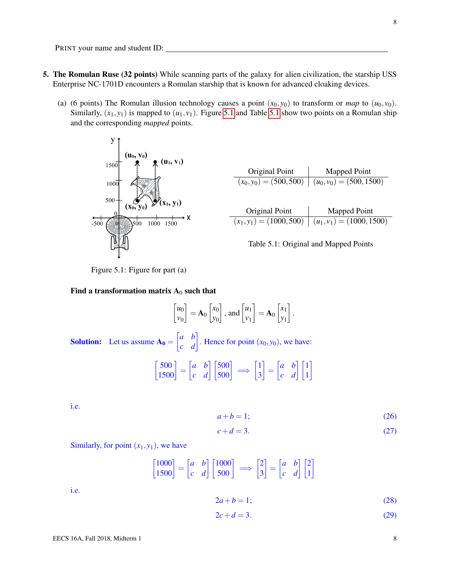PRINT your name and student ID:

- 5. The Romulan Ruse (32 points) While scanning parts of the galaxy for alien civilization, the starship USS Enterprise NC-1701D encounters a Romulan starship that is known for advanced cloaking devices.
	- (a) (6 points) The Romulan illusion technology causes a point  $(x_0, y_0)$  to transform or *map* to  $(u_0, v_0)$ . Similarly,  $(x_1, y_1)$  is mapped to  $(u_1, v_1)$ . Figure [5.1](#page-7-1) and Table 5.1 show two points on a Romulan ship and the corresponding *mapped* points.

<span id="page-7-0"></span>

<span id="page-7-1"></span>

| Original Point             | Mapped Point                                            |
|----------------------------|---------------------------------------------------------|
|                            | $(x_0, y_0) = (500, 500) \mid (u_0, v_0) = (500, 1500)$ |
|                            |                                                         |
| Original Point             | Mapped Point                                            |
| $(x_1, y_1) = (1000, 500)$ | $(u_1, v_1) = (1000, 1500)$                             |
|                            |                                                         |



Figure 5.1: Figure for part (a)

### Find a transformation matrix  $A_0$  such that

$$
\begin{bmatrix} u_0 \\ v_0 \end{bmatrix} = \mathbf{A}_0 \begin{bmatrix} x_0 \\ y_0 \end{bmatrix}, \text{ and } \begin{bmatrix} u_1 \\ v_1 \end{bmatrix} = \mathbf{A}_0 \begin{bmatrix} x_1 \\ y_1 \end{bmatrix}.
$$

**Solution:** Let us assume  $\mathbf{A_0} = \begin{bmatrix} a & b \\ c & d \end{bmatrix}$ . Hence for point  $(x_0, y_0)$ , we have:

$$
\begin{bmatrix} 500 \\ 1500 \end{bmatrix} = \begin{bmatrix} a & b \\ c & d \end{bmatrix} \begin{bmatrix} 500 \\ 500 \end{bmatrix} \implies \begin{bmatrix} 1 \\ 3 \end{bmatrix} = \begin{bmatrix} a & b \\ c & d \end{bmatrix} \begin{bmatrix} 1 \\ 1 \end{bmatrix}
$$

i.e.

<span id="page-7-2"></span>
$$
a+b=1;\t(26)
$$

<span id="page-7-4"></span>
$$
c + d = 3.\t\t(27)
$$

Similarly, for point  $(x_1, y_1)$ , we have

$$
\begin{bmatrix} 1000 \\ 1500 \end{bmatrix} = \begin{bmatrix} a & b \\ c & d \end{bmatrix} \begin{bmatrix} 1000 \\ 500 \end{bmatrix} \implies \begin{bmatrix} 2 \\ 3 \end{bmatrix} = \begin{bmatrix} a & b \\ c & d \end{bmatrix} \begin{bmatrix} 2 \\ 1 \end{bmatrix}
$$

i.e.

<span id="page-7-3"></span>
$$
2a + b = 1;
$$
\n<sup>(28)</sup>

<span id="page-7-5"></span>
$$
2c + d = 3.\tag{29}
$$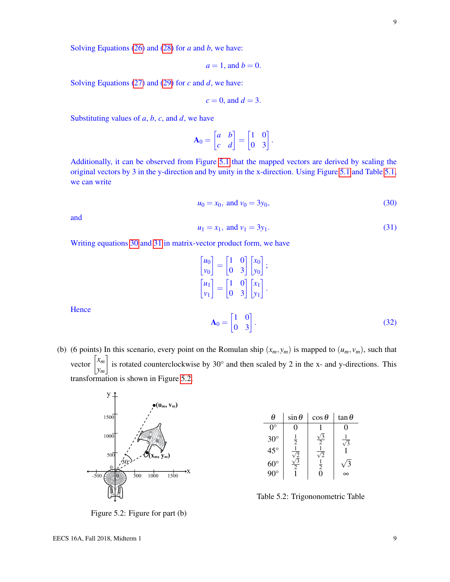Solving Equations [\(26\)](#page-7-2) and [\(28\)](#page-7-3) for *a* and *b*, we have:

$$
a=1, \text{ and } b=0.
$$

Solving Equations [\(27\)](#page-7-4) and [\(29\)](#page-7-5) for *c* and *d*, we have:

$$
c = 0, \text{ and } d = 3.
$$

Substituting values of *a*, *b*, *c*, and *d*, we have

$$
\mathbf{A}_0 = \begin{bmatrix} a & b \\ c & d \end{bmatrix} = \begin{bmatrix} 1 & 0 \\ 0 & 3 \end{bmatrix}.
$$

Additionally, it can be observed from Figure [5.1](#page-7-0) that the mapped vectors are derived by scaling the original vectors by 3 in the y-direction and by unity in the x-direction. Using Figure [5.1](#page-7-0) and Table [5.1,](#page-7-1) we can write

<span id="page-8-0"></span>
$$
u_0 = x_0, \text{ and } v_0 = 3y_0,\tag{30}
$$

and

**Hence** 

<span id="page-8-1"></span>
$$
u_1 = x_1, \text{ and } v_1 = 3y_1. \tag{31}
$$

Writing equations [30](#page-8-0) and [31](#page-8-1) in matrix-vector product form, we have

$$
\begin{bmatrix} u_0 \\ v_0 \end{bmatrix} = \begin{bmatrix} 1 & 0 \\ 0 & 3 \end{bmatrix} \begin{bmatrix} x_0 \\ y_0 \end{bmatrix};
$$

$$
\begin{bmatrix} u_1 \\ v_1 \end{bmatrix} = \begin{bmatrix} 1 & 0 \\ 0 & 3 \end{bmatrix} \begin{bmatrix} x_1 \\ y_1 \end{bmatrix}.
$$

$$
\mathbf{A}_0 = \begin{bmatrix} 1 & 0 \\ 0 & 3 \end{bmatrix}.
$$
(32)

(b) (6 points) In this scenario, every point on the Romulan ship  $(x_m, y_m)$  is mapped to  $(u_m, v_m)$ , such that vector  $\begin{bmatrix} x_m \\ x_m \end{bmatrix}$ *ym* is rotated counterclockwise by 30 $^{\circ}$  and then scaled by 2 in the x- and y-directions. This transformation is shown in Figure [5.2.](#page-8-2)

<span id="page-8-2"></span>

 $\theta$  sin $\theta$  cos $\theta$  tan $\theta$  $0^\circ$  | 0 | 1 | 0  $30^\circ$  $\frac{2}{1}$  $\sqrt{3}$ 2  $\frac{1}{\sqrt{2}}$ 3  $45^{\circ}$  $\frac{\sqrt{2}}{\sqrt{3}}$  $\frac{1}{\sqrt{2}}$ 2 1 60° 2 1 2 √ 3  $90^\circ$  | 1 | 0 |  $\infty$ 

Table 5.2: Trigononometric Table

Figure 5.2: Figure for part (b)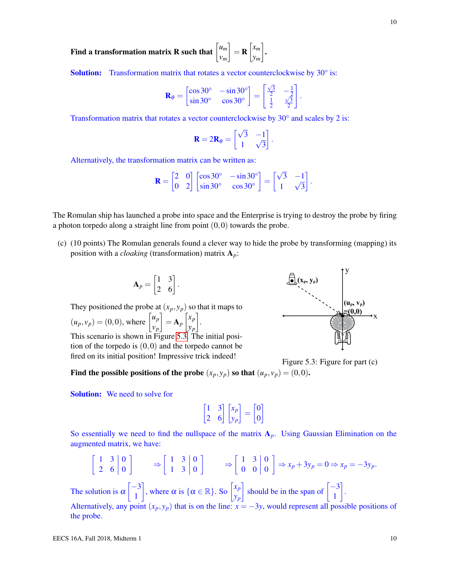Find a transformation matrix **R** such that  $\begin{bmatrix} u_m \end{bmatrix}$ *vm*  $\Big] = \mathbf{R} \Big[ \begin{matrix} x_m \\ x_m \end{matrix} \Big]$ *ym* .

Solution: Transformation matrix that rotates a vector counterclockwise by 30° is:

$$
\mathbf{R}_{\theta} = \begin{bmatrix} \cos 30^{\circ} & -\sin 30^{\circ} \\ \sin 30^{\circ} & \cos 30^{\circ} \end{bmatrix} = \begin{bmatrix} \frac{\sqrt{3}}{2} & -\frac{1}{2} \\ \frac{1}{2} & \frac{\sqrt{3}}{2} \end{bmatrix}.
$$

Transformation matrix that rotates a vector counterclockwise by 30° and scales by 2 is:

$$
\mathbf{R} = 2\mathbf{R}_{\theta} = \begin{bmatrix} \sqrt{3} & -1 \\ 1 & \sqrt{3} \end{bmatrix}.
$$

Alternatively, the transformation matrix can be written as:

$$
\mathbf{R} = \begin{bmatrix} 2 & 0 \\ 0 & 2 \end{bmatrix} \begin{bmatrix} \cos 30^{\circ} & -\sin 30^{\circ} \\ \sin 30^{\circ} & \cos 30^{\circ} \end{bmatrix} = \begin{bmatrix} \sqrt{3} & -1 \\ 1 & \sqrt{3} \end{bmatrix}.
$$

The Romulan ship has launched a probe into space and the Enterprise is trying to destroy the probe by firing a photon torpedo along a straight line from point  $(0,0)$  towards the probe.

(c) (10 points) The Romulan generals found a clever way to hide the probe by transforming (mapping) its position with a *cloaking* (transformation) matrix A*p*:

$$
\mathbf{A}_p = \begin{bmatrix} 1 & 3 \\ 2 & 6 \end{bmatrix}.
$$

They positioned the probe at  $(x_p, y_p)$  so that it maps to  $(u_p, v_p) = (0, 0)$ , where  $\begin{bmatrix} u_p \\ u_p \end{bmatrix}$ *vp*  $\Big] = \mathbf{A}_p \Big[ \begin{matrix} x_p \\ y_p \end{matrix} \Big]$ *yp* . This scenario is shown in Figure [5.3.](#page-9-0) The initial posi-

tion of the torpedo is  $(0,0)$  and the torpedo cannot be fired on its initial position! Impressive trick indeed!

<span id="page-9-0"></span>

Figure 5.3: Figure for part (c)

Find the possible positions of the probe  $(x_p, y_p)$  so that  $(u_p, v_p) = (0, 0)$ .

**Solution:** We need to solve for

$$
\begin{bmatrix} 1 & 3 \ 2 & 6 \end{bmatrix} \begin{bmatrix} x_p \\ y_p \end{bmatrix} = \begin{bmatrix} 0 \\ 0 \end{bmatrix}
$$

So essentially we need to find the nullspace of the matrix  $A_p$ . Using Gaussian Elimination on the augmented matrix, we have:

$$
\begin{bmatrix} 1 & 3 & 0 \ 2 & 6 & 0 \end{bmatrix} \Rightarrow \begin{bmatrix} 1 & 3 & 0 \ 1 & 3 & 0 \end{bmatrix} \Rightarrow \begin{bmatrix} 1 & 3 & 0 \ 0 & 0 & 0 \end{bmatrix} \Rightarrow x_p + 3y_p = 0 \Rightarrow x_p = -3y_p.
$$
  
The solution is  $\alpha \begin{bmatrix} -3 \ 1 \end{bmatrix}$ , where  $\alpha$  is  $\{\alpha \in \mathbb{R}\}$ . So  $\begin{bmatrix} x_p \ y_p \end{bmatrix}$  should be in the span of  $\begin{bmatrix} -3 \ 1 \end{bmatrix}$ .

Alternatively, any point  $(x_p, y_p)$  that is on the line:  $x = -3y$ , would represent all possible positions of the probe.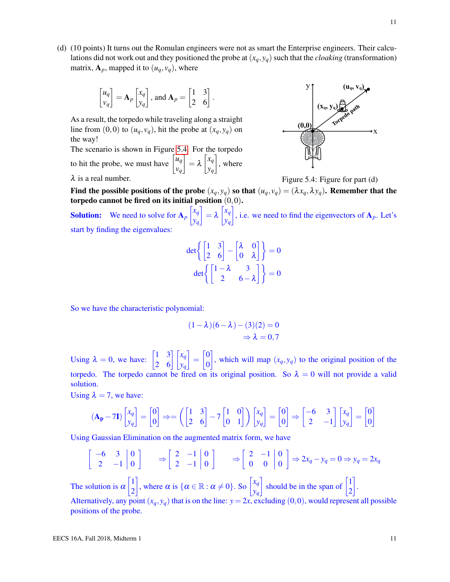(d) (10 points) It turns out the Romulan engineers were not as smart the Enterprise engineers. Their calculations did not work out and they positioned the probe at  $(x_q, y_q)$  such that the *cloaking* (transformation)

$$
\begin{bmatrix} u_q \\ v_q \end{bmatrix} = \mathbf{A}_p \begin{bmatrix} x_q \\ y_q \end{bmatrix}, \text{ and } \mathbf{A}_p = \begin{bmatrix} 1 & 3 \\ 2 & 6 \end{bmatrix}.
$$

matrix,  $A_p$ , mapped it to  $(u_q, v_q)$ , where

As a result, the torpedo while traveling along a straight line from  $(0,0)$  to  $(u_q, v_q)$ , hit the probe at  $(x_q, y_q)$  on the way!

The scenario is shown in Figure [5.4.](#page-10-0) For the torpedo to hit the probe, we must have  $\begin{bmatrix} u_q \\ u_q \end{bmatrix}$ *vq*  $\bigg] = \lambda \begin{bmatrix} x_q \\ y_q \end{bmatrix}$ *yq*  $\Big]$ , where  $\lambda$  is a real number. Figure 5.4: Figure for part (d)

<span id="page-10-0"></span>

Find the possible positions of the probe  $(x_q, y_q)$  so that  $(u_q, v_q) = (\lambda x_q, \lambda y_q)$ . Remember that the torpedo cannot be fired on its initial position  $(0,0)$ .

**Solution:** We need to solve for  $A_p \begin{bmatrix} x_q \\ y_q \end{bmatrix}$ *yq*  $\bigg] = \lambda \begin{bmatrix} x_q \\ y_q \end{bmatrix}$ *yq* , i.e. we need to find the eigenvectors of  $A_p$ . Let's start by finding the eigenvalues:

$$
\det\left\{\begin{bmatrix} 1 & 3 \\ 2 & 6 \end{bmatrix} - \begin{bmatrix} \lambda & 0 \\ 0 & \lambda \end{bmatrix} \right\} = 0
$$

$$
\det\left\{\begin{bmatrix} 1 - \lambda & 3 \\ 2 & 6 - \lambda \end{bmatrix} \right\} = 0
$$

So we have the characteristic polynomial:

$$
(1 - \lambda)(6 - \lambda) - (3)(2) = 0
$$
  

$$
\Rightarrow \lambda = 0,7
$$

Using  $\lambda = 0$ , we have:  $\begin{bmatrix} 1 & 3 \\ 2 & 6 \end{bmatrix} \begin{bmatrix} x_q \\ y_q \end{bmatrix}$  $\begin{bmatrix} 0 \\ 0 \end{bmatrix}$ 0 , which will map  $(x_q, y_q)$  to the original position of the torpedo. The torpedo cannot be fired on its original position. So  $\lambda = 0$  will not provide a valid solution.

Using  $\lambda = 7$ , we have:

$$
(\mathbf{A}_{\mathbf{p}} - 7\mathbf{I}) \begin{bmatrix} x_q \\ y_q \end{bmatrix} = \begin{bmatrix} 0 \\ 0 \end{bmatrix} \Rightarrow = \left( \begin{bmatrix} 1 & 3 \\ 2 & 6 \end{bmatrix} - 7 \begin{bmatrix} 1 & 0 \\ 0 & 1 \end{bmatrix} \right) \begin{bmatrix} x_q \\ y_q \end{bmatrix} = \begin{bmatrix} 0 \\ 0 \end{bmatrix} \Rightarrow \begin{bmatrix} -6 & 3 \\ 2 & -1 \end{bmatrix} \begin{bmatrix} x_q \\ y_q \end{bmatrix} = \begin{bmatrix} 0 \\ 0 \end{bmatrix}
$$

Using Gaussian Elimination on the augmented matrix form, we have

$$
\begin{bmatrix} -6 & 3 & 0 \ 2 & -1 & 0 \end{bmatrix} \Rightarrow \begin{bmatrix} 2 & -1 & 0 \ 2 & -1 & 0 \end{bmatrix} \Rightarrow \begin{bmatrix} 2 & -1 & 0 \ 0 & 0 & 0 \end{bmatrix} \Rightarrow 2x_q - y_q = 0 \Rightarrow y_q = 2x_q
$$
  
The solution is  $\alpha \begin{bmatrix} 1 \ 2 \end{bmatrix}$ , where  $\alpha$  is  $\{\alpha \in \mathbb{R} : \alpha \neq 0\}$ . So  $\begin{bmatrix} x_q \ y_q \end{bmatrix}$  should be in the span of  $\begin{bmatrix} 1 \ 2 \end{bmatrix}$ .

Alternatively, any point  $(x_q, y_q)$  that is on the line:  $y = 2x$ , excluding  $(0,0)$ , would represent all possible positions of the probe.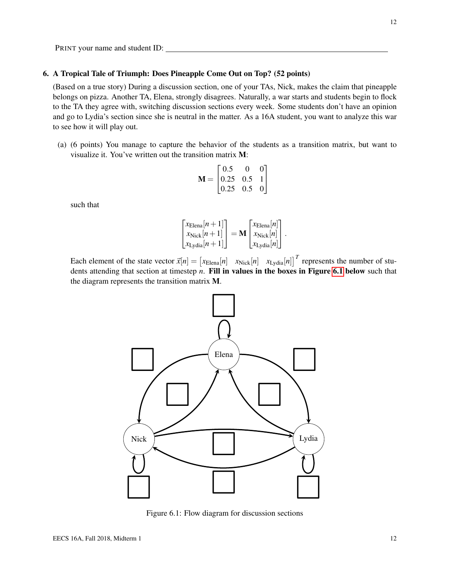Figure 6.1: Flow diagram for discussion sections

#### 6. A Tropical Tale of Triumph: Does Pineapple Come Out on Top? (52 points)

(Based on a true story) During a discussion section, one of your TAs, Nick, makes the claim that pineapple belongs on pizza. Another TA, Elena, strongly disagrees. Naturally, a war starts and students begin to flock to the TA they agree with, switching discussion sections every week. Some students don't have an opinion and go to Lydia's section since she is neutral in the matter. As a 16A student, you want to analyze this war to see how it will play out.

(a) (6 points) You manage to capture the behavior of the students as a transition matrix, but want to visualize it. You've written out the transition matrix M:

$$
\mathbf{M} = \begin{bmatrix} 0.5 & 0 & 0 \\ 0.25 & 0.5 & 1 \\ 0.25 & 0.5 & 0 \end{bmatrix}
$$

such that

PRINT your name and student ID:

$$
\begin{bmatrix} x_{\text{Elena}}[n+1] \\ x_{\text{Nick}}[n+1] \\ x_{\text{Lydia}}[n+1] \end{bmatrix} = \mathbf{M} \begin{bmatrix} x_{\text{Elena}}[n] \\ x_{\text{Nick}}[n] \\ x_{\text{Lydia}}[n] \end{bmatrix}.
$$

<span id="page-11-0"></span>Each element of the state vector  $\vec{x}[n] = \begin{bmatrix} x_{\text{Elena}}[n] & x_{\text{Nick}}[n] & x_{\text{Lydia}}[n] \end{bmatrix}^T$  represents the number of students attending that section at timestep *n*. Fill in values in the boxes in Figure [6.1](#page-11-0) below such that the diagram represents the transition matrix M.

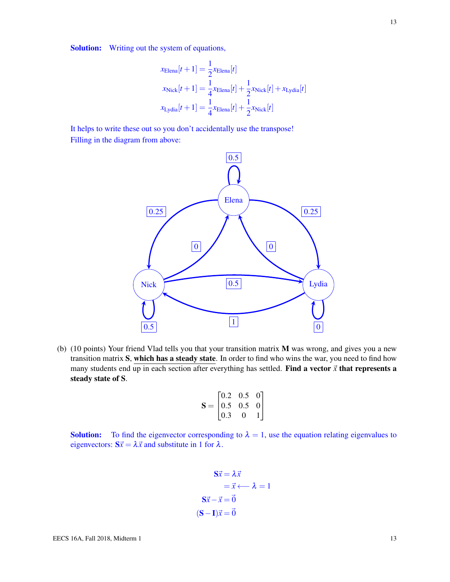Solution: Writing out the system of equations,

$$
x_{\text{Elena}}[t+1] = \frac{1}{2} x_{\text{Elena}}[t]
$$
  
\n
$$
x_{\text{Nick}}[t+1] = \frac{1}{4} x_{\text{Elena}}[t] + \frac{1}{2} x_{\text{Nick}}[t] + x_{\text{Lydia}}[t]
$$
  
\n
$$
x_{\text{Lydia}}[t+1] = \frac{1}{4} x_{\text{Elena}}[t] + \frac{1}{2} x_{\text{Nick}}[t]
$$

It helps to write these out so you don't accidentally use the transpose! Filling in the diagram from above:



(b) (10 points) Your friend Vlad tells you that your transition matrix M was wrong, and gives you a new transition matrix S, which has a steady state. In order to find who wins the war, you need to find how many students end up in each section after everything has settled. Find a vector  $\vec{x}$  that represents a steady state of S.

$$
\mathbf{S} = \begin{bmatrix} 0.2 & 0.5 & 0 \\ 0.5 & 0.5 & 0 \\ 0.3 & 0 & 1 \end{bmatrix}
$$

**Solution:** To find the eigenvector corresponding to  $\lambda = 1$ , use the equation relating eigenvalues to eigenvectors:  $S\vec{x} = \lambda \vec{x}$  and substitute in 1 for  $\lambda$ .

$$
\begin{aligned}\n\mathbf{S}\vec{x} &= \lambda \vec{x} \\
&= \vec{x} \longleftarrow \lambda = 1 \\
\mathbf{S}\vec{x} - \vec{x} &= \vec{0} \\
(\mathbf{S} - \mathbf{I})\vec{x} &= \vec{0}\n\end{aligned}
$$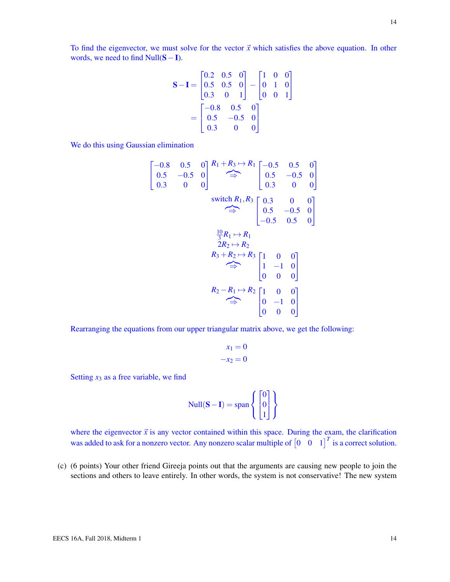To find the eigenvector, we must solve for the vector  $\vec{x}$  which satisfies the above equation. In other words, we need to find  $Null(S-I)$ .

$$
\mathbf{S} - \mathbf{I} = \begin{bmatrix} 0.2 & 0.5 & 0 \\ 0.5 & 0.5 & 0 \\ 0.3 & 0 & 1 \end{bmatrix} - \begin{bmatrix} 1 & 0 & 0 \\ 0 & 1 & 0 \\ 0 & 0 & 1 \end{bmatrix}
$$

$$
= \begin{bmatrix} -0.8 & 0.5 & 0 \\ 0.5 & -0.5 & 0 \\ 0.3 & 0 & 0 \end{bmatrix}
$$

We do this using Gaussian elimination

$$
\begin{bmatrix}\n-0.8 & 0.5 & 0 \\
0.5 & -0.5 & 0 \\
0.3 & 0 & 0\n\end{bmatrix} \xrightarrow{R_1 + R_3 \rightarrow R_1} \begin{bmatrix}\n-0.5 & 0.5 & 0 \\
0.5 & -0.5 & 0 \\
0.3 & 0 & 0\n\end{bmatrix}
$$
\nswitch  $R_1, R_3$  
$$
\begin{bmatrix}\n0.3 & 0 & 0 \\
0.5 & -0.5 & 0 \\
-0.5 & 0.5 & 0\n\end{bmatrix}
$$
\n
$$
\xrightarrow{\frac{10}{3}R_1 \rightarrow R_1}
$$
\n
$$
2R_2 \rightarrow R_2
$$
\n
$$
R_3 + R_2 \rightarrow R_3
$$
\n
$$
\xrightarrow{\frac{10}{3} + R_2 \rightarrow R_3}
$$
\n
$$
\begin{bmatrix}\n1 & 0 & 0 \\
1 & -1 & 0 \\
0 & 0 & 0\n\end{bmatrix}
$$
\n
$$
R_2 - R_1 \rightarrow R_2
$$
\n
$$
\begin{bmatrix}\n1 & 0 & 0 \\
0 & -1 & 0 \\
0 & 0 & 0\n\end{bmatrix}
$$

Rearranging the equations from our upper triangular matrix above, we get the following:

$$
x_1 = 0
$$
  

$$
-x_2 = 0
$$

Setting  $x_3$  as a free variable, we find

$$
Null(\mathbf{S} - \mathbf{I}) = span \left\{ \begin{bmatrix} 0 \\ 0 \\ 1 \end{bmatrix} \right\}
$$

where the eigenvector  $\vec{x}$  is any vector contained within this space. During the exam, the clarification was added to ask for a nonzero vector. Any nonzero scalar multiple of  $\begin{bmatrix} 0 & 0 & 1 \end{bmatrix}^T$  is a correct solution.

(c) (6 points) Your other friend Gireeja points out that the arguments are causing new people to join the sections and others to leave entirely. In other words, the system is not conservative! The new system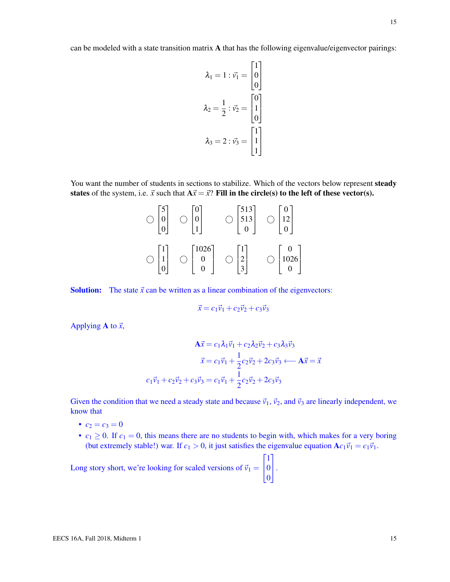can be modeled with a state transition matrix A that has the following eigenvalue/eigenvector pairings:

$$
\lambda_1 = 1 : \vec{v_1} = \begin{bmatrix} 1 \\ 0 \\ 0 \end{bmatrix}
$$

$$
\lambda_2 = \frac{1}{2} : \vec{v_2} = \begin{bmatrix} 0 \\ 1 \\ 0 \end{bmatrix}
$$

$$
\lambda_3 = 2 : \vec{v_3} = \begin{bmatrix} 1 \\ 1 \\ 1 \end{bmatrix}
$$

You want the number of students in sections to stabilize. Which of the vectors below represent steady states of the system, i.e.  $\vec{x}$  such that  $A\vec{x} = \vec{x}$ ? Fill in the circle(s) to the left of these vector(s).

| J            | U    | 513<br>ر د ر |                                 |
|--------------|------|--------------|---------------------------------|
| $\mathbf{I}$ | 1026 |              | $\epsilon$ .<br>$\binom{0}{10}$ |

**Solution:** The state  $\vec{x}$  can be written as a linear combination of the eigenvectors:

$$
\vec{x} = c_1 \vec{v}_1 + c_2 \vec{v}_2 + c_3 \vec{v}_3
$$

Applying **A** to  $\vec{x}$ ,

$$
\mathbf{A}\vec{x} = c_1 \lambda_1 \vec{v}_1 + c_2 \lambda_2 \vec{v}_2 + c_3 \lambda_3 \vec{v}_3
$$

$$
\vec{x} = c_1 \vec{v}_1 + \frac{1}{2} c_2 \vec{v}_2 + 2c_3 \vec{v}_3 \longleftarrow \mathbf{A}\vec{x} = \vec{x}
$$

$$
c_1 \vec{v}_1 + c_2 \vec{v}_2 + c_3 \vec{v}_3 = c_1 \vec{v}_1 + \frac{1}{2} c_2 \vec{v}_2 + 2c_3 \vec{v}_3
$$

Given the condition that we need a steady state and because  $\vec{v}_1$ ,  $\vec{v}_2$ , and  $\vec{v}_3$  are linearly independent, we know that

- $c_2 = c_3 = 0$
- $c_1 \geq 0$ . If  $c_1 = 0$ , this means there are no students to begin with, which makes for a very boring (but extremely stable!) war. If  $c_1 > 0$ , it just satisfies the eigenvalue equation  $A c_1 \vec{v}_1 = c_1 \vec{v}_1$ .

Long story short, we're looking for scaled versions of  $\vec{v}_1$  =  $\sqrt{ }$  $\mathbf{I}$ 1 0 0 1  $\vert \cdot$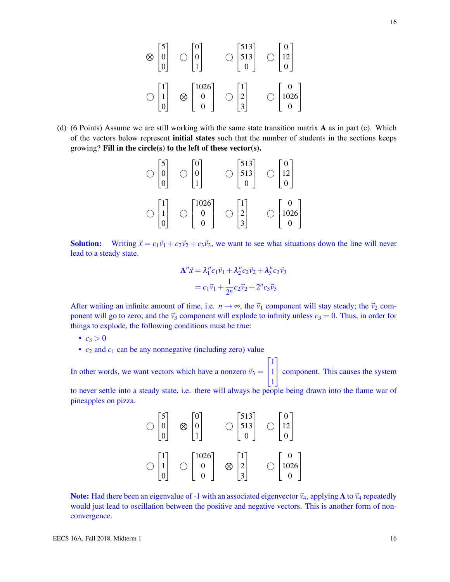$$
\otimes \begin{bmatrix} 5 \\ 0 \\ 0 \end{bmatrix} \quad \bigcirc \begin{bmatrix} 0 \\ 0 \\ 1 \end{bmatrix} \qquad \bigcirc \begin{bmatrix} 513 \\ 513 \\ 0 \end{bmatrix} \quad \bigcirc \begin{bmatrix} 0 \\ 12 \\ 0 \end{bmatrix}
$$

$$
\bigcirc \begin{bmatrix} 1 \\ 1 \\ 0 \end{bmatrix} \quad \otimes \begin{bmatrix} 1026 \\ 0 \\ 0 \end{bmatrix} \qquad \bigcirc \begin{bmatrix} 1 \\ 2 \\ 3 \end{bmatrix} \qquad \bigcirc \begin{bmatrix} 0 \\ 1026 \\ 0 \end{bmatrix}
$$

(d) (6 Points) Assume we are still working with the same state transition matrix A as in part (c). Which of the vectors below represent **initial states** such that the number of students in the sections keeps growing? Fill in the circle(s) to the left of these vector(s).

$$
\bigcirc \begin{bmatrix} 5 \\ 0 \\ 0 \end{bmatrix} \quad \bigcirc \begin{bmatrix} 0 \\ 0 \\ 1 \end{bmatrix} \qquad \bigcirc \begin{bmatrix} 513 \\ 513 \\ 0 \end{bmatrix} \quad \bigcirc \begin{bmatrix} 0 \\ 12 \\ 0 \end{bmatrix}
$$

$$
\bigcirc \begin{bmatrix} 1 \\ 1 \\ 0 \end{bmatrix} \quad \bigcirc \begin{bmatrix} 1026 \\ 0 \\ 0 \end{bmatrix} \quad \bigcirc \begin{bmatrix} 1 \\ 2 \\ 3 \end{bmatrix} \qquad \bigcirc \begin{bmatrix} 0 \\ 1026 \\ 0 \end{bmatrix}
$$

**Solution:** Writing  $\vec{x} = c_1\vec{v}_1 + c_2\vec{v}_2 + c_3\vec{v}_3$ , we want to see what situations down the line will never lead to a steady state.

$$
\mathbf{A}^n \vec{x} = \lambda_1^n c_1 \vec{v}_1 + \lambda_2^n c_2 \vec{v}_2 + \lambda_3^n c_3 \vec{v}_3
$$
  
=  $c_1 \vec{v}_1 + \frac{1}{2^n} c_2 \vec{v}_2 + 2^n c_3 \vec{v}_3$ 

After waiting an infinite amount of time, i.e.  $n \to \infty$ , the  $\vec{v}_1$  component will stay steady; the  $\vec{v}_2$  component will go to zero; and the  $\vec{v}_3$  component will explode to infinity unless  $c_3 = 0$ . Thus, in order for things to explode, the following conditions must be true:

- $c_3 > 0$
- $c_2$  and  $c_1$  can be any nonnegative (including zero) value

In other words, we want vectors which have a nonzero  $\vec{v}_3$  =  $\sqrt{ }$  $\mathbf{I}$ 1 1 1 1 component. This causes the system

to never settle into a steady state, i.e. there will always be people being drawn into the flame war of pineapples on pizza.

|           | $\lceil 513 \rceil$<br>512<br>313 | ◠     |
|-----------|-----------------------------------|-------|
| 1026<br>0 |                                   | 10261 |

**Note:** Had there been an eigenvalue of -1 with an associated eigenvector  $\vec{v}_4$ , applying **A** to  $\vec{v}_4$  repeatedly would just lead to oscillation between the positive and negative vectors. This is another form of nonconvergence.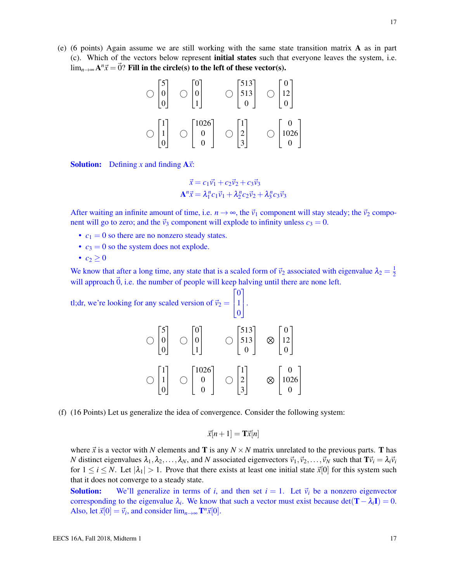(e) (6 points) Again assume we are still working with the same state transition matrix A as in part (c). Which of the vectors below represent initial states such that everyone leaves the system, i.e.  $\lim_{n\to\infty}$ A $^n$  $\vec{x}=\vec{0}$ ? Fill in the circle(s) to the left of these vector(s).

$$
\bigcirc \begin{bmatrix} 5 \\ 0 \\ 0 \end{bmatrix} \quad \bigcirc \begin{bmatrix} 0 \\ 0 \\ 1 \end{bmatrix} \qquad \bigcirc \begin{bmatrix} 513 \\ 513 \\ 0 \end{bmatrix} \quad \bigcirc \begin{bmatrix} 0 \\ 12 \\ 0 \end{bmatrix}
$$

$$
\bigcirc \begin{bmatrix} 1 \\ 1 \\ 0 \end{bmatrix} \quad \bigcirc \begin{bmatrix} 1026 \\ 0 \\ 0 \end{bmatrix} \quad \bigcirc \begin{bmatrix} 1 \\ 2 \\ 3 \end{bmatrix} \qquad \bigcirc \begin{bmatrix} 0 \\ 1026 \\ 0 \end{bmatrix}
$$

**Solution:** Defining *x* and finding  $A\vec{x}$ :

$$
\vec{x} = c_1 \vec{v_1} + c_2 \vec{v_2} + c_3 \vec{v_3}
$$

$$
\mathbf{A}^n \vec{x} = \lambda_1^n c_1 \vec{v_1} + \lambda_2^n c_2 \vec{v_2} + \lambda_3^n c_3 \vec{v_3}
$$

After waiting an infinite amount of time, i.e.  $n \to \infty$ , the  $\vec{v}_1$  component will stay steady; the  $\vec{v}_2$  component will go to zero; and the  $\vec{v}_3$  component will explode to infinity unless  $c_3 = 0$ .

- $c_1 = 0$  so there are no nonzero steady states.
- $c_3 = 0$  so the system does not explode.
- $c_2 > 0$

We know that after a long time, any state that is a scaled form of  $\vec{v}_2$  associated with eigenvalue  $\lambda_2 = \frac{1}{2}$ 2 will approach  $\vec{0}$ , i.e. the number of people will keep halving until there are none left.

tl;dr, we're looking for any scaled version of  $\vec{v}_2$  =  $\sqrt{ }$  $\mathbf{I}$  $\boldsymbol{0}$ 1 0 1  $\vert \cdot$ 

|      | 513<br>512<br>313 |              |
|------|-------------------|--------------|
| 1026 | ◠                 | $10\angle 0$ |

(f) (16 Points) Let us generalize the idea of convergence. Consider the following system:

$$
\vec{x}[n+1] = \mathbf{T}\vec{x}[n]
$$

where  $\vec{x}$  is a vector with N elements and **T** is any  $N \times N$  matrix unrelated to the previous parts. **T** has *N* distinct eigenvalues  $\lambda_1, \lambda_2, \ldots, \lambda_N$ , and *N* associated eigenvectors  $\vec{v}_1, \vec{v}_2, \ldots, \vec{v}_N$  such that  $\mathbf{T} \vec{v}_i = \lambda_i \vec{v}_i$ for  $1 \le i \le N$ . Let  $|\lambda_1| > 1$ . Prove that there exists at least one initial state  $\vec{x}[0]$  for this system such that it does not converge to a steady state.

**Solution:** We'll generalize in terms of *i*, and then set  $i = 1$ . Let  $\vec{v}_i$  be a nonzero eigenvector corresponding to the eigenvalue  $\lambda_i$ . We know that such a vector must exist because det( $\mathbf{T} - \lambda_i \mathbf{I}$ ) = 0. Also, let  $\vec{x}[0] = \vec{v}_i$ , and consider  $\lim_{n \to \infty} \mathbf{T}^n \vec{x}[0]$ .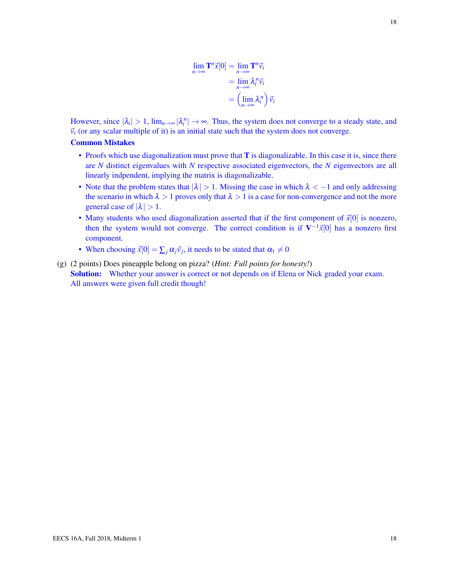$$
\lim_{n \to \infty} \mathbf{T}^n \vec{x}[0] = \lim_{n \to \infty} \mathbf{T}^n \vec{v}_i
$$

$$
= \lim_{n \to \infty} \lambda_i^n \vec{v}_i
$$

$$
= \left(\lim_{n \to \infty} \lambda_i^n\right) \vec{v}_i
$$

However, since  $|\lambda_i| > 1$ ,  $\lim_{n \to \infty} |\lambda_i^n| \to \infty$ . Thus, the system does not converge to a steady state, and  $\vec{v}_i$  (or any scalar multiple of it) is an initial state such that the system does not converge.

## Common Mistakes

- Proofs which use diagonalization must prove that **T** is diagonalizable. In this case it is, since there are *N* distinct eigenvalues with *N* respective associated eigenvectors, the *N* eigenvectors are all linearly indpendent, implying the matrix is diagonalizable.
- Note that the problem states that  $|\lambda| > 1$ . Missing the case in which  $\lambda < -1$  and only addressing the scenario in which  $\lambda > 1$  proves only that  $\lambda > 1$  is a case for non-convergence and not the more general case of  $|\lambda| > 1$ .
- Many students who used diagonalization asserted that if the first component of  $\vec{x}[0]$  is nonzero, then the system would not converge. The correct condition is if  $V^{-1}\vec{x}[0]$  has a nonzero first component.
- When choosing  $\vec{x}[0] = \sum_j \alpha_j \vec{v}_j$ , it needs to be stated that  $\alpha_1 \neq 0$
- (g) (2 points) Does pineapple belong on pizza? (*Hint: Full points for honesty!*) Solution: Whether your answer is correct or not depends on if Elena or Nick graded your exam. All answers were given full credit though!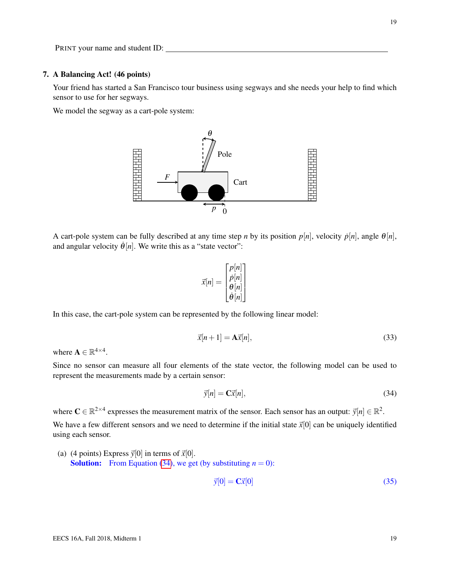#### 7. A Balancing Act! (46 points)

Your friend has started a San Francisco tour business using segways and she needs your help to find which sensor to use for her segways.

We model the segway as a cart-pole system:



A cart-pole system can be fully described at any time step *n* by its position  $p[n]$ , velocity  $\dot{p}[n]$ , angle  $\theta[n]$ , and angular velocity  $\dot{\theta}[n]$ . We write this as a "state vector":

$$
\vec{x}[n] = \begin{bmatrix} p[n] \\ \dot{p}[n] \\ \theta[n] \\ \dot{\theta}[n] \end{bmatrix}
$$

In this case, the cart-pole system can be represented by the following linear model:

<span id="page-18-1"></span>
$$
\vec{x}[n+1] = \mathbf{A}\vec{x}[n],\tag{33}
$$

where  $\mathbf{A} \in \mathbb{R}^{4 \times 4}$ .

Since no sensor can measure all four elements of the state vector, the following model can be used to represent the measurements made by a certain sensor:

<span id="page-18-0"></span>
$$
\vec{y}[n] = \mathbf{C}\vec{x}[n],\tag{34}
$$

where  $C \in \mathbb{R}^{2 \times 4}$  expresses the measurement matrix of the sensor. Each sensor has an output:  $\vec{y}[n] \in \mathbb{R}^2$ .

We have a few different sensors and we need to determine if the initial state  $\vec{x}[0]$  can be uniquely identified using each sensor.

(a) (4 points) Express  $\vec{v}[0]$  in terms of  $\vec{x}[0]$ . **Solution:** From Equation [\(34\)](#page-18-0), we get (by substituting  $n = 0$ ):

$$
\vec{y}[0] = \mathbf{C}\vec{x}[0] \tag{35}
$$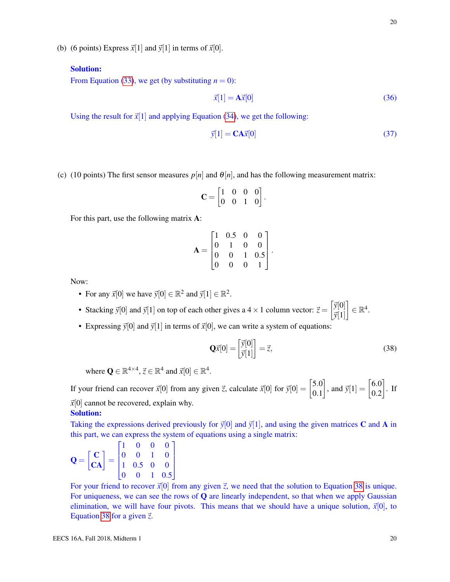(b) (6 points) Express  $\vec{x}[1]$  and  $\vec{y}[1]$  in terms of  $\vec{x}[0]$ .

# Solution:

From Equation [\(33\)](#page-18-1), we get (by substituting  $n = 0$ ):

$$
\vec{x}[1] = \mathbf{A}\vec{x}[0] \tag{36}
$$

Using the result for  $\vec{x}[1]$  and applying Equation [\(34\)](#page-18-0), we get the following:

$$
\vec{y}[1] = \mathbf{C}\mathbf{A}\vec{x}[0] \tag{37}
$$

(c) (10 points) The first sensor measures  $p[n]$  and  $\theta[n]$ , and has the following measurement matrix:

$$
\mathbf{C} = \begin{bmatrix} 1 & 0 & 0 & 0 \\ 0 & 0 & 1 & 0 \end{bmatrix}
$$

.

For this part, use the following matrix A:

$$
\mathbf{A} = \begin{bmatrix} 1 & 0.5 & 0 & 0 \\ 0 & 1 & 0 & 0 \\ 0 & 0 & 1 & 0.5 \\ 0 & 0 & 0 & 1 \end{bmatrix}.
$$

Now:

- For any  $\vec{x}[0]$  we have  $\vec{y}[0] \in \mathbb{R}^2$  and  $\vec{y}[1] \in \mathbb{R}^2$ .
- Stacking  $\vec{y}[0]$  and  $\vec{y}[1]$  on top of each other gives a 4 × 1 column vector:  $\vec{z} = \begin{bmatrix} \vec{y}[0] \\ \vec{z}[1] \end{bmatrix}$  $\vec{y}[1]$  $\Big] \in \mathbb{R}^4.$
- Expressing  $\vec{y}[0]$  and  $\vec{y}[1]$  in terms of  $\vec{x}[0]$ , we can write a system of equations:

<span id="page-19-0"></span>
$$
\mathbf{Q}\vec{x}[0] = \begin{bmatrix} \vec{y}[0] \\ \vec{y}[1] \end{bmatrix} = \vec{z},\tag{38}
$$

where  $\mathbf{Q} \in \mathbb{R}^{4 \times 4}$ ,  $\vec{z} \in \mathbb{R}^4$  and  $\vec{x}[0] \in \mathbb{R}^4$ .

If your friend can recover  $\vec{x}[0]$  from any given  $\vec{z}$ , calculate  $\vec{x}[0]$  for  $\vec{y}[0] = \begin{bmatrix} 5.0 \\ 0.1 \end{bmatrix}$ 0.1 , and  $\vec{y}[1] = \begin{bmatrix} 6.0 \\ 0.2 \end{bmatrix}$ 0.2  $\big]$ . If  $\vec{x}[0]$  cannot be recovered, explain why.

# Solution:

Taking the expressions derived previously for  $\vec{y}[0]$  and  $\vec{y}[1]$ , and using the given matrices C and A in this part, we can express the system of equations using a single matrix:

$$
\mathbf{Q} = \begin{bmatrix} \mathbf{C} \\ \mathbf{CA} \end{bmatrix} = \begin{bmatrix} 1 & 0 & 0 & 0 \\ 0 & 0 & 1 & 0 \\ 1 & 0.5 & 0 & 0 \\ 0 & 0 & 1 & 0.5 \end{bmatrix}
$$

For your friend to recover  $\vec{x}[0]$  from any given  $\vec{z}$ , we need that the solution to Equation [38](#page-19-0) is unique. For uniqueness, we can see the rows of  $Q$  are linearly independent, so that when we apply Gaussian elimination, we will have four pivots. This means that we should have a unique solution,  $\vec{x}[0]$ , to Equation [38](#page-19-0) for a given  $\vec{z}$ .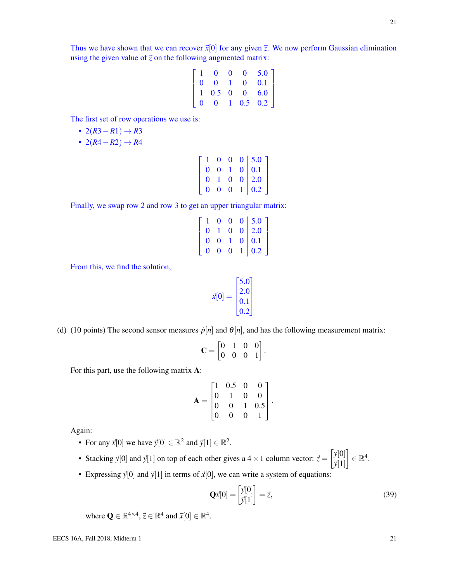Thus we have shown that we can recover  $\vec{x}[0]$  for any given  $\vec{z}$ . We now perform Gaussian elimination using the given value of  $\vec{z}$  on the following augmented matrix:

$$
\left[\begin{array}{cccc|c} 1 & 0 & 0 & 0 & 5.0 \\ 0 & 0 & 1 & 0 & 0.1 \\ 1 & 0.5 & 0 & 0 & 6.0 \\ 0 & 0 & 1 & 0.5 & 0.2 \end{array}\right]
$$

The first set of row operations we use is:

- $\cdot$  2(*R*3−*R*1)  $\rightarrow$  *R*3
- $2(R4 R2) \rightarrow R4$

| $\mathbf{1}$   |              | $0\quad 0$     | 0   5.0            |
|----------------|--------------|----------------|--------------------|
| $\overline{0}$ |              | 0 <sub>1</sub> | $0 \mid 0.1$       |
| $\mathbf{0}$   |              | $1\quad 0$     | $\overline{0}$ 2.0 |
| $\bf{0}$       | $\mathbf{0}$ | $\mathbf{0}$   | $1 \mid 0.2$       |

Finally, we swap row 2 and row 3 to get an upper triangular matrix:

| $\mathbf{0}$   |              |                | $\begin{bmatrix} 1 & 0 & 0 & 0 & 5.0 \\ 0 & 1 & 0 & 0 & 2.0 \end{bmatrix}$<br>$0 \mid 2.0$ |
|----------------|--------------|----------------|--------------------------------------------------------------------------------------------|
| $\mathbf{0}$   |              | 0 <sub>1</sub> |                                                                                            |
| $\overline{0}$ | $\mathbf{0}$ |                | $\begin{array}{c c c} 1 & 0 & 0.1 \\ 0 & 1 & 0.2 \end{array}$                              |

From this, we find the solution,

$$
\vec{x}[0] = \begin{bmatrix} 5.0 \\ 2.0 \\ 0.1 \\ 0.2 \end{bmatrix}
$$

(d) (10 points) The second sensor measures  $\dot{p}[n]$  and  $\dot{\theta}[n]$ , and has the following measurement matrix:

$$
\mathbf{C} = \begin{bmatrix} 0 & 1 & 0 & 0 \\ 0 & 0 & 0 & 1 \end{bmatrix}.
$$

For this part, use the following matrix A:

$$
\mathbf{A} = \begin{bmatrix} 1 & 0.5 & 0 & 0 \\ 0 & 1 & 0 & 0 \\ 0 & 0 & 1 & 0.5 \\ 0 & 0 & 0 & 1 \end{bmatrix}.
$$

Again:

- For any  $\vec{x}[0]$  we have  $\vec{y}[0] \in \mathbb{R}^2$  and  $\vec{y}[1] \in \mathbb{R}^2$ .
- Stacking  $\vec{y}[0]$  and  $\vec{y}[1]$  on top of each other gives a 4 × 1 column vector:  $\vec{z} = \begin{bmatrix} \vec{y}[0] \\ \vec{x}[1] \end{bmatrix}$  $\vec{y}[1]$  $\Big] \in \mathbb{R}^4.$
- Expressing  $\vec{y}[0]$  and  $\vec{y}[1]$  in terms of  $\vec{x}[0]$ , we can write a system of equations:

<span id="page-20-0"></span>
$$
\mathbf{Q}\vec{x}[0] = \begin{bmatrix} \vec{y}[0] \\ \vec{y}[1] \end{bmatrix} = \vec{z},\tag{39}
$$

where  $\mathbf{Q} \in \mathbb{R}^{4 \times 4}$ ,  $\vec{z} \in \mathbb{R}^4$  and  $\vec{x}[0] \in \mathbb{R}^4$ .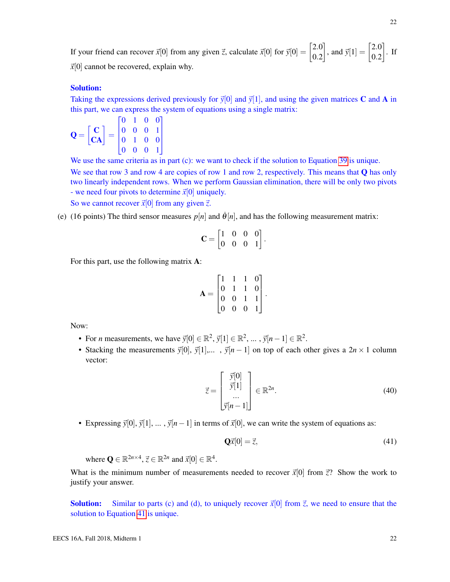If your friend can recover  $\vec{x}[0]$  from any given  $\vec{z}$ , calculate  $\vec{x}[0]$  for  $\vec{y}[0] = \begin{bmatrix} 2.0 \\ 0.2 \end{bmatrix}$ 0.2 , and  $\vec{y}[1] = \begin{bmatrix} 2.0 \\ 0.2 \end{bmatrix}$ 0.2  $\big]$ . If  $\vec{x}[0]$  cannot be recovered, explain why.

## Solution:

Taking the expressions derived previously for  $\vec{y}[0]$  and  $\vec{y}[1]$ , and using the given matrices C and A in this part, we can express the system of equations using a single matrix:

$$
\mathbf{Q} = \begin{bmatrix} \mathbf{C} \\ \mathbf{CA} \end{bmatrix} = \begin{bmatrix} 0 & 1 & 0 & 0 \\ 0 & 0 & 0 & 1 \\ 0 & 1 & 0 & 0 \\ 0 & 0 & 0 & 1 \end{bmatrix}
$$

We use the same criteria as in part (c): we want to check if the solution to Equation [39](#page-20-0) is unique.

We see that row 3 and row 4 are copies of row 1 and row 2, respectively. This means that **Q** has only two linearly independent rows. When we perform Gaussian elimination, there will be only two pivots - we need four pivots to determine  $\vec{x}[0]$  uniquely.

So we cannot recover  $\vec{x}[0]$  from any given  $\vec{z}$ .

(e) (16 points) The third sensor measures  $p[n]$  and  $\dot{\theta}[n]$ , and has the following measurement matrix:

$$
\mathbf{C} = \begin{bmatrix} 1 & 0 & 0 & 0 \\ 0 & 0 & 0 & 1 \end{bmatrix}.
$$

For this part, use the following matrix A:

$$
\mathbf{A} = \begin{bmatrix} 1 & 1 & 1 & 0 \\ 0 & 1 & 1 & 0 \\ 0 & 0 & 1 & 1 \\ 0 & 0 & 0 & 1 \end{bmatrix}
$$

.

Now:

- For *n* measurements, we have  $\vec{y}[0] \in \mathbb{R}^2$ ,  $\vec{y}[1] \in \mathbb{R}^2$ , ...,  $\vec{y}[n-1] \in \mathbb{R}^2$ .
- Stacking the measurements  $\vec{y}[0], \vec{y}[1],...$ ,  $\vec{y}[n-1]$  on top of each other gives a  $2n \times 1$  column vector:

$$
\vec{z} = \begin{bmatrix} \vec{y}[0] \\ \vec{y}[1] \\ \vdots \\ \vec{y}[n-1] \end{bmatrix} \in \mathbb{R}^{2n}.
$$
 (40)

• Expressing  $\vec{y}[0], \vec{y}[1], \dots, \vec{y}[n-1]$  in terms of  $\vec{x}[0]$ , we can write the system of equations as:

<span id="page-21-0"></span>
$$
\mathbf{Q}\vec{x}[0] = \vec{z},\tag{41}
$$

where  $\mathbf{Q} \in \mathbb{R}^{2n \times 4}$ ,  $\vec{z} \in \mathbb{R}^{2n}$  and  $\vec{x}[0] \in \mathbb{R}^4$ .

What is the minimum number of measurements needed to recover  $\vec{x}[0]$  from  $\vec{z}$ ? Show the work to justify your answer.

**Solution:** Similar to parts (c) and (d), to uniquely recover  $\vec{x}[0]$  from  $\vec{z}$ , we need to ensure that the solution to Equation [41](#page-21-0) is unique.